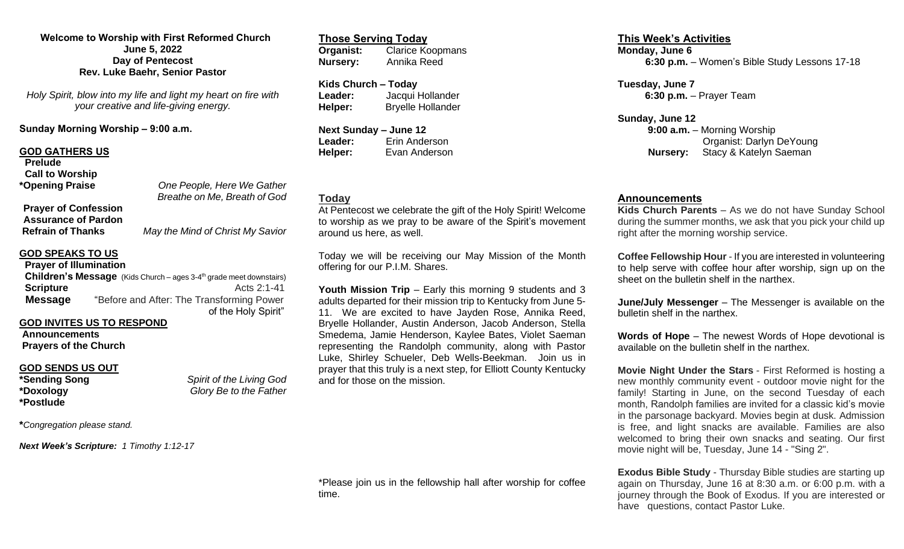### **Welcome to Worship with First Reformed Church June 5, 2022 Day of Pentecost Rev. Luke Baehr, Senior Pastor**

*Holy Spirit, blow into my life and light my heart on fire with your creative and life-giving energy.*

**Sunday Morning Worship – 9:00 a.m.**

### **GOD GATHERS US**

| <b>Prelude</b>              |                                                            |
|-----------------------------|------------------------------------------------------------|
| <b>Call to Worship</b>      |                                                            |
| *Opening Praise             | One People, Here We Gather<br>Breathe on Me, Breath of God |
| <b>Prayer of Confession</b> |                                                            |
| <b>Assurance of Pardon</b>  |                                                            |
| <b>Refrain of Thanks</b>    | May the Mind of Christ My Savior                           |

#### **GOD SPEAKS TO US Prayer of Illumination**

| <b>Prayer of Illumination</b> |                                                                                 |
|-------------------------------|---------------------------------------------------------------------------------|
|                               | Children's Message (Kids Church – ages 3-4 <sup>th</sup> grade meet downstairs) |
| <b>Scripture</b>              | Acts $2:1-41$                                                                   |
| <b>Message</b>                | "Before and After: The Transforming Power                                       |
|                               | of the Holy Spirit"                                                             |

### **GOD INVITES US TO RESPOND**

**Announcements Prayers of the Church**

# **GOD SENDS US OUT**<br>\*Sending Song

**\*Postlude**

**\*Sending Song** *Spirit of the Living God* **\*Doxology** *Glory Be to the Father*

**\****Congregation please stand.*

*Next Week's Scripture: 1 Timothy 1:12-17*

## **Those Serving Today**<br>**Organist:** Clarice Ko **Organist:** Clarice Koopmans **Nursery:** Annika Reed

**Kids Church – Today Leader:** Jacqui Hollander **Helper:** Bryelle Hollander

**Next Sunday – June 12 Leader:** Erin Anderson **Helper:** Evan Anderson

# **Today**

At Pentecost we celebrate the gift of the Holy Spirit! Welcome to worship as we pray to be aware of the Spirit's movement around us here, as well.

Today we will be receiving our May Mission of the Month offering for our P.I.M. Shares.

**Youth Mission Trip** – Early this morning 9 students and 3 adults departed for their mission trip to Kentucky from June 5- 11. We are excited to have Jayden Rose, Annika Reed, Bryelle Hollander, Austin Anderson, Jacob Anderson, Stella Smedema, Jamie Henderson, Kaylee Bates, Violet Saeman representing the Randolph community, along with Pastor Luke, Shirley Schueler, Deb Wells-Beekman. Join us in prayer that this truly is a next step, for Elliott County Kentucky and for those on the mission.

\*Please join us in the fellowship hall after worship for coffee time.

### **This Week's Activities Monday, June 6 6:30 p.m.** – Women's Bible Study Lessons 17-18

**Tuesday, June 7 6:30 p.m.** – Prayer Team

**Sunday, June 12 9:00 a.m.** – Morning Worship Organist: Darlyn DeYoung **Nursery:** Stacy & Katelyn Saeman

### **Announcements**

**Kids Church Parents** – As we do not have Sunday School during the summer months, we ask that you pick your child up right after the morning worship service.

**Coffee Fellowship Hour** - If you are interested in volunteering to help serve with coffee hour after worship, sign up on the sheet on the bulletin shelf in the narthex.

**June/July Messenger** – The Messenger is available on the bulletin shelf in the narthex.

**Words of Hope** – The newest Words of Hope devotional is available on the bulletin shelf in the narthex.

**Movie Night Under the Stars** - First Reformed is hosting a new monthly community event - outdoor movie night for the family! Starting in June, on the second Tuesday of each month, Randolph families are invited for a classic kid's movie in the parsonage backyard. Movies begin at dusk. Admission is free, and light snacks are available. Families are also welcomed to bring their own snacks and seating. Our first movie night will be, Tuesday, June 14 - "Sing 2".

**Exodus Bible Study** - Thursday Bible studies are starting up again on Thursday, June 16 at 8:30 a.m. or 6:00 p.m. with a journey through the Book of Exodus. If you are interested or have questions, contact Pastor Luke.